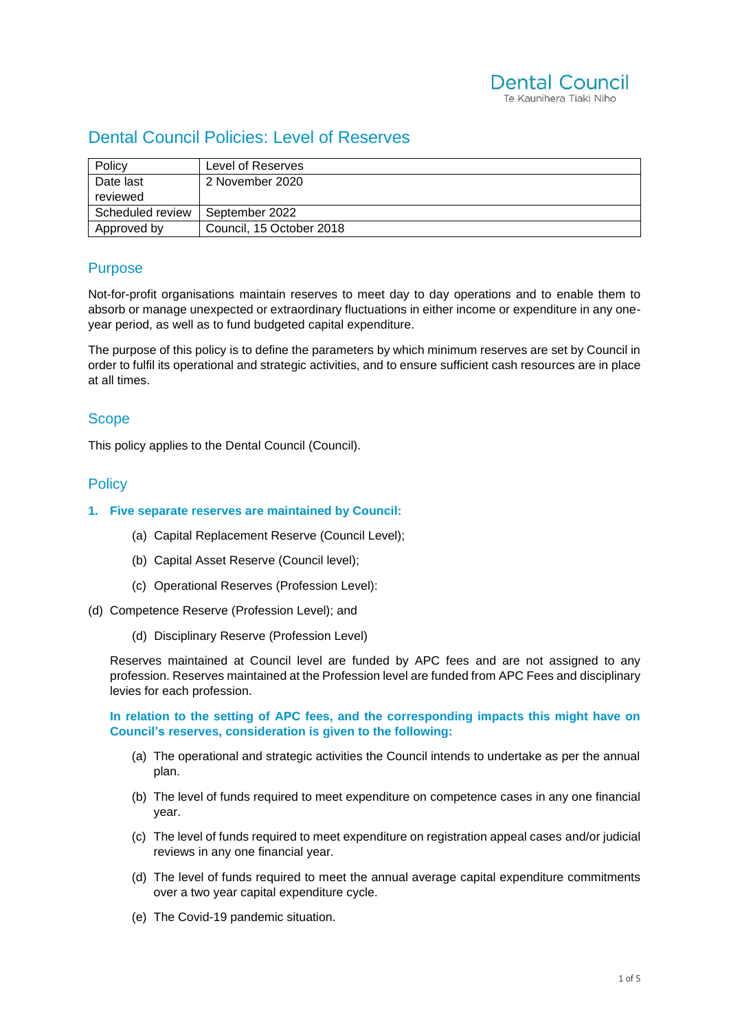

# Dental Council Policies: Level of Reserves

| Policy           | Level of Reserves        |
|------------------|--------------------------|
| Date last        | 2 November 2020          |
| reviewed         |                          |
| Scheduled review | September 2022           |
| Approved by      | Council, 15 October 2018 |

# **Purpose**

Not-for-profit organisations maintain reserves to meet day to day operations and to enable them to absorb or manage unexpected or extraordinary fluctuations in either income or expenditure in any oneyear period, as well as to fund budgeted capital expenditure.

The purpose of this policy is to define the parameters by which minimum reserves are set by Council in order to fulfil its operational and strategic activities, and to ensure sufficient cash resources are in place at all times.

### **Scope**

This policy applies to the Dental Council (Council).

### **Policy**

#### **1. Five separate reserves are maintained by Council:**

- (a) Capital Replacement Reserve (Council Level);
- (b) Capital Asset Reserve (Council level);
- (c) Operational Reserves (Profession Level):
- (d) Competence Reserve (Profession Level); and
	- (d) Disciplinary Reserve (Profession Level)

Reserves maintained at Council level are funded by APC fees and are not assigned to any profession. Reserves maintained at the Profession level are funded from APC Fees and disciplinary levies for each profession.

**In relation to the setting of APC fees, and the corresponding impacts this might have on Council's reserves, consideration is given to the following:**

- (a) The operational and strategic activities the Council intends to undertake as per the annual plan.
- (b) The level of funds required to meet expenditure on competence cases in any one financial year.
- (c) The level of funds required to meet expenditure on registration appeal cases and/or judicial reviews in any one financial year.
- (d) The level of funds required to meet the annual average capital expenditure commitments over a two year capital expenditure cycle.
- (e) The Covid-19 pandemic situation.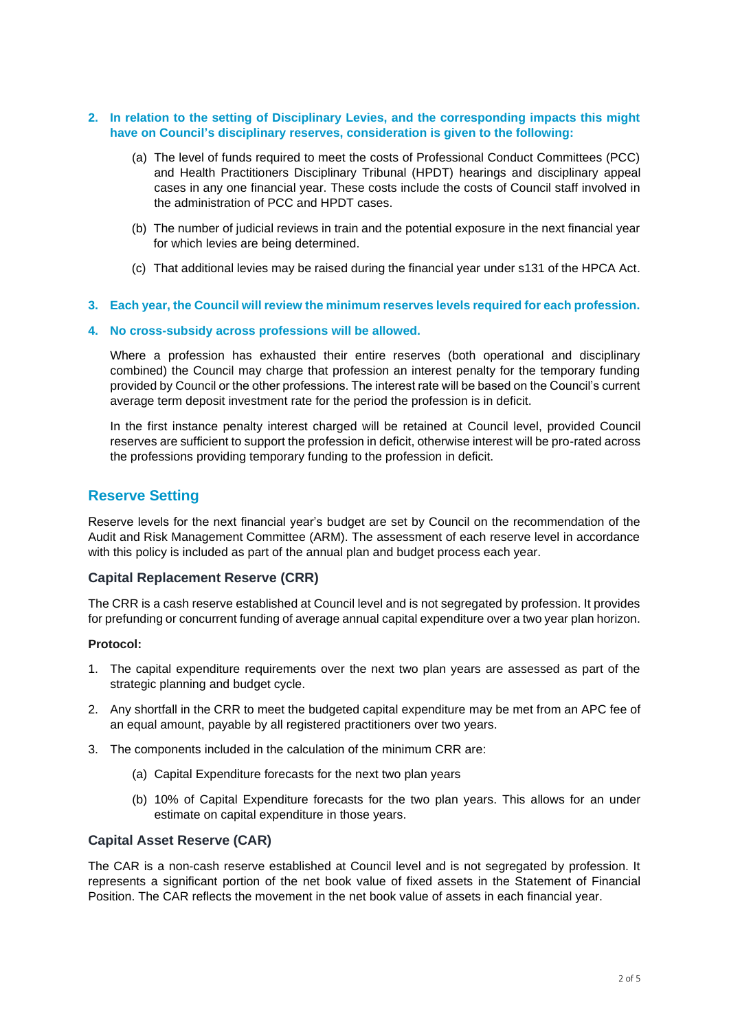#### **2. In relation to the setting of Disciplinary Levies, and the corresponding impacts this might have on Council's disciplinary reserves, consideration is given to the following:**

- (a) The level of funds required to meet the costs of Professional Conduct Committees (PCC) and Health Practitioners Disciplinary Tribunal (HPDT) hearings and disciplinary appeal cases in any one financial year. These costs include the costs of Council staff involved in the administration of PCC and HPDT cases.
- (b) The number of judicial reviews in train and the potential exposure in the next financial year for which levies are being determined.
- (c) That additional levies may be raised during the financial year under s131 of the HPCA Act.
- **3. Each year, the Council will review the minimum reserves levels required for each profession.**

#### **4. No cross-subsidy across professions will be allowed.**

Where a profession has exhausted their entire reserves (both operational and disciplinary combined) the Council may charge that profession an interest penalty for the temporary funding provided by Council or the other professions. The interest rate will be based on the Council's current average term deposit investment rate for the period the profession is in deficit.

In the first instance penalty interest charged will be retained at Council level, provided Council reserves are sufficient to support the profession in deficit, otherwise interest will be pro-rated across the professions providing temporary funding to the profession in deficit.

### **Reserve Setting**

Reserve levels for the next financial year's budget are set by Council on the recommendation of the Audit and Risk Management Committee (ARM). The assessment of each reserve level in accordance with this policy is included as part of the annual plan and budget process each year.

#### **Capital Replacement Reserve (CRR)**

The CRR is a cash reserve established at Council level and is not segregated by profession. It provides for prefunding or concurrent funding of average annual capital expenditure over a two year plan horizon.

#### **Protocol:**

- 1. The capital expenditure requirements over the next two plan years are assessed as part of the strategic planning and budget cycle.
- 2. Any shortfall in the CRR to meet the budgeted capital expenditure may be met from an APC fee of an equal amount, payable by all registered practitioners over two years.
- 3. The components included in the calculation of the minimum CRR are:
	- (a) Capital Expenditure forecasts for the next two plan years
	- (b) 10% of Capital Expenditure forecasts for the two plan years. This allows for an under estimate on capital expenditure in those years.

#### **Capital Asset Reserve (CAR)**

The CAR is a non-cash reserve established at Council level and is not segregated by profession. It represents a significant portion of the net book value of fixed assets in the Statement of Financial Position. The CAR reflects the movement in the net book value of assets in each financial year.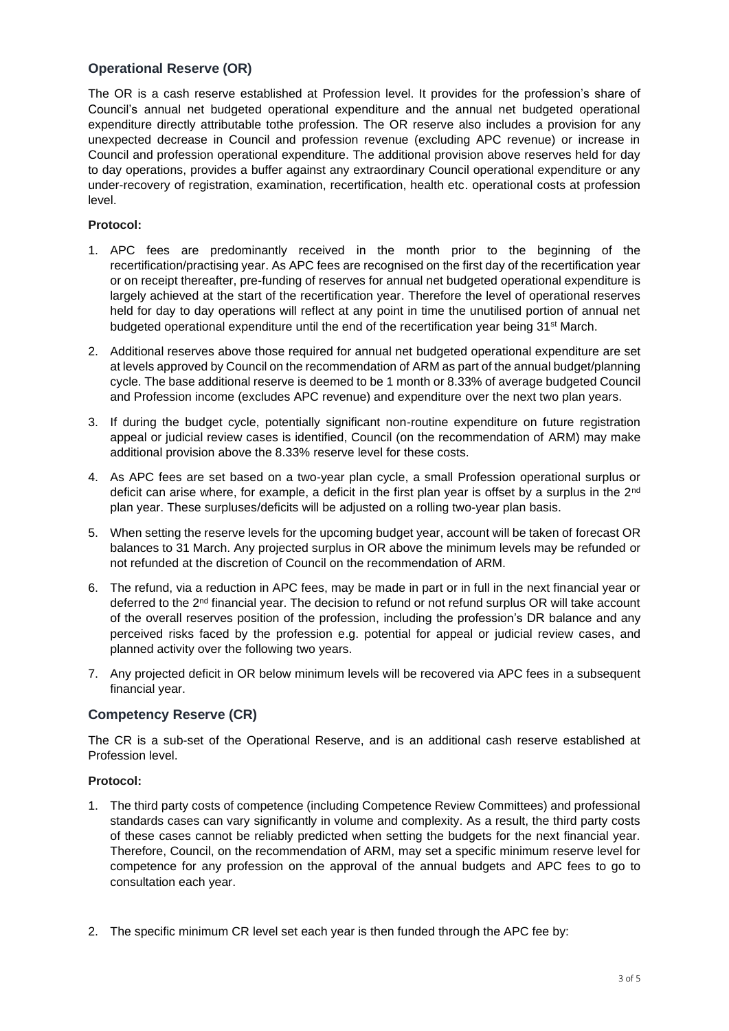### **Operational Reserve (OR)**

The OR is a cash reserve established at Profession level. It provides for the profession's share of Council's annual net budgeted operational expenditure and the annual net budgeted operational expenditure directly attributable tothe profession. The OR reserve also includes a provision for any unexpected decrease in Council and profession revenue (excluding APC revenue) or increase in Council and profession operational expenditure. The additional provision above reserves held for day to day operations, provides a buffer against any extraordinary Council operational expenditure or any under-recovery of registration, examination, recertification, health etc. operational costs at profession level.

### **Protocol:**

- 1. APC fees are predominantly received in the month prior to the beginning of the recertification/practising year. As APC fees are recognised on the first day of the recertification year or on receipt thereafter, pre-funding of reserves for annual net budgeted operational expenditure is largely achieved at the start of the recertification year. Therefore the level of operational reserves held for day to day operations will reflect at any point in time the unutilised portion of annual net budgeted operational expenditure until the end of the recertification year being 31<sup>st</sup> March.
- 2. Additional reserves above those required for annual net budgeted operational expenditure are set at levels approved by Council on the recommendation of ARM as part of the annual budget/planning cycle. The base additional reserve is deemed to be 1 month or 8.33% of average budgeted Council and Profession income (excludes APC revenue) and expenditure over the next two plan years.
- 3. If during the budget cycle, potentially significant non-routine expenditure on future registration appeal or judicial review cases is identified, Council (on the recommendation of ARM) may make additional provision above the 8.33% reserve level for these costs.
- 4. As APC fees are set based on a two-year plan cycle, a small Profession operational surplus or deficit can arise where, for example, a deficit in the first plan year is offset by a surplus in the 2<sup>nd</sup> plan year. These surpluses/deficits will be adjusted on a rolling two-year plan basis.
- 5. When setting the reserve levels for the upcoming budget year, account will be taken of forecast OR balances to 31 March. Any projected surplus in OR above the minimum levels may be refunded or not refunded at the discretion of Council on the recommendation of ARM.
- 6. The refund, via a reduction in APC fees, may be made in part or in full in the next financial year or deferred to the 2<sup>nd</sup> financial year. The decision to refund or not refund surplus OR will take account of the overall reserves position of the profession, including the profession's DR balance and any perceived risks faced by the profession e.g. potential for appeal or judicial review cases, and planned activity over the following two years.
- 7. Any projected deficit in OR below minimum levels will be recovered via APC fees in a subsequent financial year.

### **Competency Reserve (CR)**

The CR is a sub-set of the Operational Reserve, and is an additional cash reserve established at Profession level.

#### **Protocol:**

- 1. The third party costs of competence (including Competence Review Committees) and professional standards cases can vary significantly in volume and complexity. As a result, the third party costs of these cases cannot be reliably predicted when setting the budgets for the next financial year. Therefore, Council, on the recommendation of ARM, may set a specific minimum reserve level for competence for any profession on the approval of the annual budgets and APC fees to go to consultation each year.
- 2. The specific minimum CR level set each year is then funded through the APC fee by: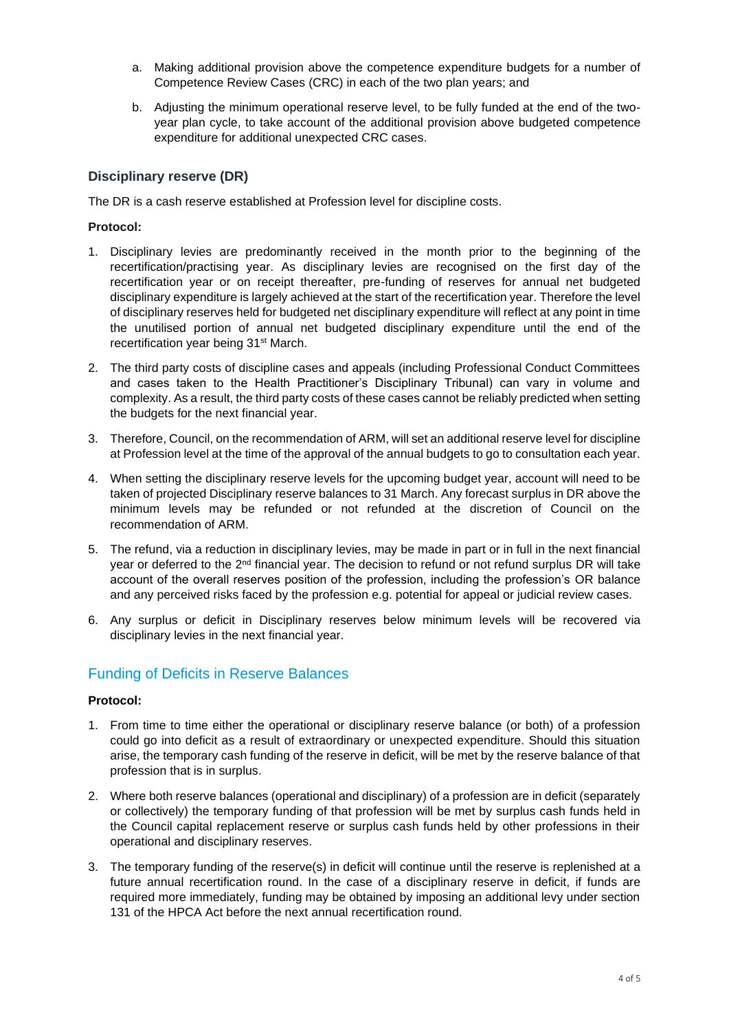- a. Making additional provision above the competence expenditure budgets for a number of Competence Review Cases (CRC) in each of the two plan years; and
- b. Adjusting the minimum operational reserve level, to be fully funded at the end of the twoyear plan cycle, to take account of the additional provision above budgeted competence expenditure for additional unexpected CRC cases.

### **Disciplinary reserve (DR)**

The DR is a cash reserve established at Profession level for discipline costs.

### **Protocol:**

- 1. Disciplinary levies are predominantly received in the month prior to the beginning of the recertification/practising year. As disciplinary levies are recognised on the first day of the recertification year or on receipt thereafter, pre-funding of reserves for annual net budgeted disciplinary expenditure is largely achieved at the start of the recertification year. Therefore the level of disciplinary reserves held for budgeted net disciplinary expenditure will reflect at any point in time the unutilised portion of annual net budgeted disciplinary expenditure until the end of the recertification year being 31st March.
- 2. The third party costs of discipline cases and appeals (including Professional Conduct Committees and cases taken to the Health Practitioner's Disciplinary Tribunal) can vary in volume and complexity. As a result, the third party costs of these cases cannot be reliably predicted when setting the budgets for the next financial year.
- 3. Therefore, Council, on the recommendation of ARM, will set an additional reserve level for discipline at Profession level at the time of the approval of the annual budgets to go to consultation each year.
- 4. When setting the disciplinary reserve levels for the upcoming budget year, account will need to be taken of projected Disciplinary reserve balances to 31 March. Any forecast surplus in DR above the minimum levels may be refunded or not refunded at the discretion of Council on the recommendation of ARM.
- 5. The refund, via a reduction in disciplinary levies, may be made in part or in full in the next financial year or deferred to the 2<sup>nd</sup> financial year. The decision to refund or not refund surplus DR will take account of the overall reserves position of the profession, including the profession's OR balance and any perceived risks faced by the profession e.g. potential for appeal or judicial review cases.
- 6. Any surplus or deficit in Disciplinary reserves below minimum levels will be recovered via disciplinary levies in the next financial year.

# Funding of Deficits in Reserve Balances

#### **Protocol:**

- 1. From time to time either the operational or disciplinary reserve balance (or both) of a profession could go into deficit as a result of extraordinary or unexpected expenditure. Should this situation arise, the temporary cash funding of the reserve in deficit, will be met by the reserve balance of that profession that is in surplus.
- 2. Where both reserve balances (operational and disciplinary) of a profession are in deficit (separately or collectively) the temporary funding of that profession will be met by surplus cash funds held in the Council capital replacement reserve or surplus cash funds held by other professions in their operational and disciplinary reserves.
- 3. The temporary funding of the reserve(s) in deficit will continue until the reserve is replenished at a future annual recertification round. In the case of a disciplinary reserve in deficit, if funds are required more immediately, funding may be obtained by imposing an additional levy under section 131 of the HPCA Act before the next annual recertification round.